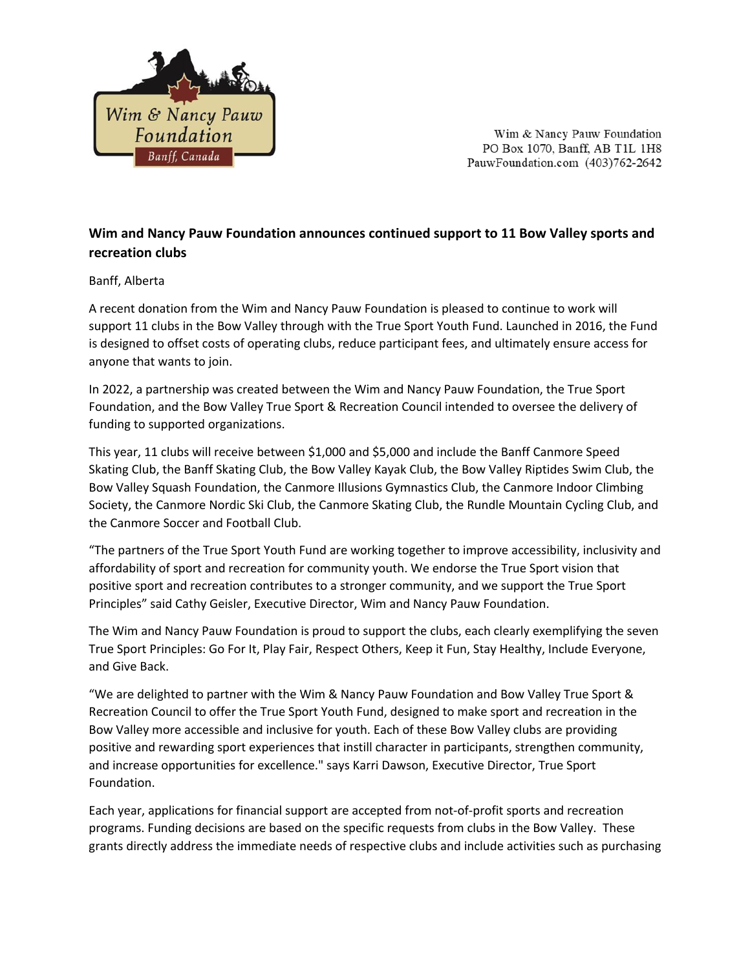

Wim & Nancy Pauw Foundation PO Box 1070, Banff, AB T1L 1H8 PauwFoundation.com (403)762-2642

# **Wim and Nancy Pauw Foundation announces continued support to 11 Bow Valley sports and recreation clubs**

#### Banff, Alberta

A recent donation from the Wim and Nancy Pauw Foundation is pleased to continue to work will support 11 clubs in the Bow Valley through with the True Sport Youth Fund. Launched in 2016, the Fund is designed to offset costs of operating clubs, reduce participant fees, and ultimately ensure access for anyone that wants to join.

In 2022, a partnership was created between the Wim and Nancy Pauw Foundation, the True Sport Foundation, and the Bow Valley True Sport & Recreation Council intended to oversee the delivery of funding to supported organizations.

This year, 11 clubs will receive between \$1,000 and \$5,000 and include the Banff Canmore Speed Skating Club, the Banff Skating Club, the Bow Valley Kayak Club, the Bow Valley Riptides Swim Club, the Bow Valley Squash Foundation, the Canmore Illusions Gymnastics Club, the Canmore Indoor Climbing Society, the Canmore Nordic Ski Club, the Canmore Skating Club, the Rundle Mountain Cycling Club, and the Canmore Soccer and Football Club.

"The partners of the True Sport Youth Fund are working together to improve accessibility, inclusivity and affordability of sport and recreation for community youth. We endorse the True Sport vision that positive sport and recreation contributes to a stronger community, and we support the True Sport Principles" said Cathy Geisler, Executive Director, Wim and Nancy Pauw Foundation.

The Wim and Nancy Pauw Foundation is proud to support the clubs, each clearly exemplifying the seven True Sport Principles: Go For It, Play Fair, Respect Others, Keep it Fun, Stay Healthy, Include Everyone, and Give Back.

"We are delighted to partner with the Wim & Nancy Pauw Foundation and Bow Valley True Sport & Recreation Council to offer the True Sport Youth Fund, designed to make sport and recreation in the Bow Valley more accessible and inclusive for youth. Each of these Bow Valley clubs are providing positive and rewarding sport experiences that instill character in participants, strengthen community, and increase opportunities for excellence." says Karri Dawson, Executive Director, True Sport Foundation.

Each year, applications for financial support are accepted from not-of-profit sports and recreation programs. Funding decisions are based on the specific requests from clubs in the Bow Valley. These grants directly address the immediate needs of respective clubs and include activities such as purchasing